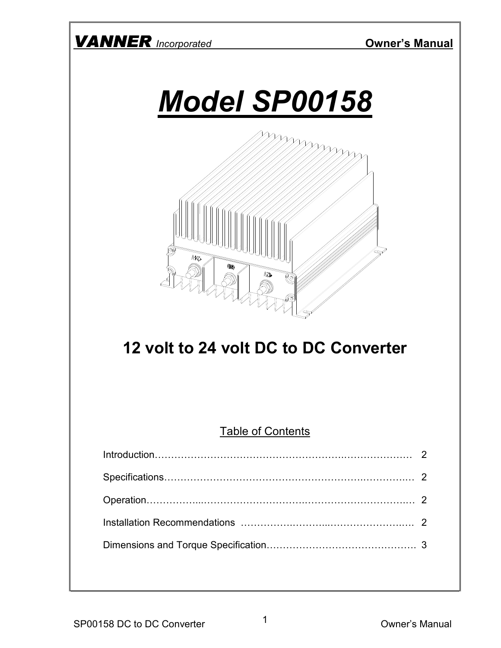





# 12 volt to 24 volt DC to DC Converter

#### **Table of Contents**

| Introduction 2 |  |
|----------------|--|
|                |  |
|                |  |
|                |  |
|                |  |
|                |  |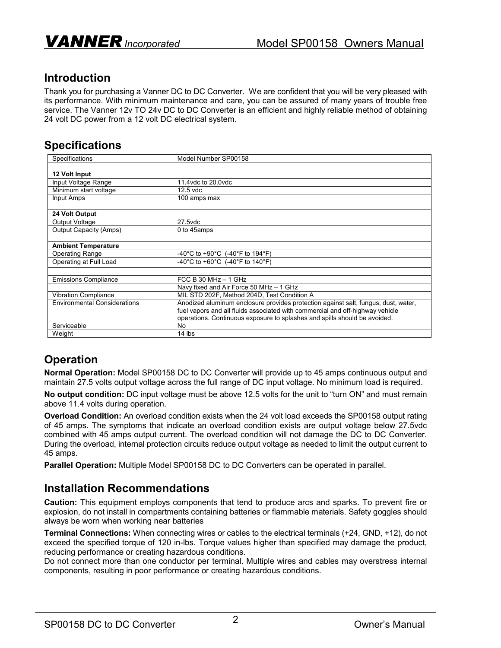## Introduction

Thank you for purchasing a Vanner DC to DC Converter. We are confident that you will be very pleased with its performance. With minimum maintenance and care, you can be assured of many years of trouble free service. The Vanner 12v TO 24v DC to DC Converter is an efficient and highly reliable method of obtaining 24 volt DC power from a 12 volt DC electrical system.

#### **Specifications**

| Specifications                      | Model Number SP00158                                                               |
|-------------------------------------|------------------------------------------------------------------------------------|
|                                     |                                                                                    |
| 12 Volt Input                       |                                                                                    |
| Input Voltage Range                 | 11.4 vdc to 20.0 vdc                                                               |
| Minimum start voltage               | $12.5$ vdc                                                                         |
| Input Amps                          | 100 amps max                                                                       |
|                                     |                                                                                    |
| 24 Volt Output                      |                                                                                    |
| Output Voltage                      | 27.5vdc                                                                            |
| Output Capacity (Amps)              | 0 to 45amps                                                                        |
|                                     |                                                                                    |
| <b>Ambient Temperature</b>          |                                                                                    |
| Operating Range                     | -40°C to +90°C (-40°F to 194°F)                                                    |
| Operating at Full Load              | -40°C to +60°C (-40°F to 140°F)                                                    |
|                                     |                                                                                    |
| <b>Emissions Compliance</b>         | FCC B 30 MHz $-$ 1 GHz                                                             |
|                                     | Navy fixed and Air Force 50 MHz - 1 GHz                                            |
| <b>Vibration Compliance</b>         | MIL STD 202F, Method 204D, Test Condition A                                        |
| <b>Environmental Considerations</b> | Anodized aluminum enclosure provides protection against salt, fungus, dust, water, |
|                                     | fuel vapors and all fluids associated with commercial and off-highway vehicle      |
|                                     | operations. Continuous exposure to splashes and spills should be avoided.          |
| Serviceable                         | No                                                                                 |
| Weight                              | 14 lbs                                                                             |

# **Operation**

Normal Operation: Model SP00158 DC to DC Converter will provide up to 45 amps continuous output and maintain 27.5 volts output voltage across the full range of DC input voltage. No minimum load is required.

No output condition: DC input voltage must be above 12.5 volts for the unit to "turn ON" and must remain above 11.4 volts during operation.

Overload Condition: An overload condition exists when the 24 volt load exceeds the SP00158 output rating of 45 amps. The symptoms that indicate an overload condition exists are output voltage below 27.5vdc combined with 45 amps output current. The overload condition will not damage the DC to DC Converter. During the overload, internal protection circuits reduce output voltage as needed to limit the output current to 45 amps.

Parallel Operation: Multiple Model SP00158 DC to DC Converters can be operated in parallel.

#### Installation Recommendations

Caution: This equipment employs components that tend to produce arcs and sparks. To prevent fire or explosion, do not install in compartments containing batteries or flammable materials. Safety goggles should always be worn when working near batteries

Terminal Connections: When connecting wires or cables to the electrical terminals (+24, GND, +12), do not exceed the specified torque of 120 in-lbs. Torque values higher than specified may damage the product, reducing performance or creating hazardous conditions.

Do not connect more than one conductor per terminal. Multiple wires and cables may overstress internal components, resulting in poor performance or creating hazardous conditions.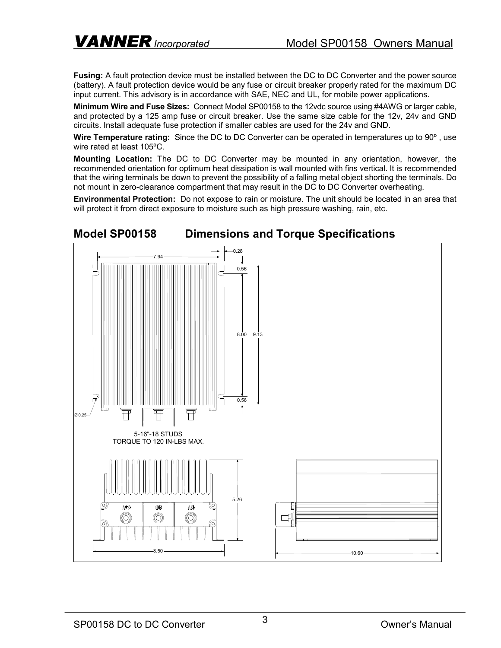Fusing: A fault protection device must be installed between the DC to DC Converter and the power source (battery). A fault protection device would be any fuse or circuit breaker properly rated for the maximum DC input current. This advisory is in accordance with SAE, NEC and UL, for mobile power applications.

Minimum Wire and Fuse Sizes: Connect Model SP00158 to the 12vdc source using #4AWG or larger cable, and protected by a 125 amp fuse or circuit breaker. Use the same size cable for the 12v, 24v and GND circuits. Install adequate fuse protection if smaller cables are used for the 24v and GND.

Wire Temperature rating: Since the DC to DC Converter can be operated in temperatures up to 90<sup>o</sup>, use wire rated at least 105ºC.

Mounting Location: The DC to DC Converter may be mounted in any orientation, however, the recommended orientation for optimum heat dissipation is wall mounted with fins vertical. It is recommended that the wiring terminals be down to prevent the possibility of a falling metal object shorting the terminals. Do not mount in zero-clearance compartment that may result in the DC to DC Converter overheating.

Environmental Protection: Do not expose to rain or moisture. The unit should be located in an area that will protect it from direct exposure to moisture such as high pressure washing, rain, etc.



### Model SP00158 Dimensions and Torque Specifications